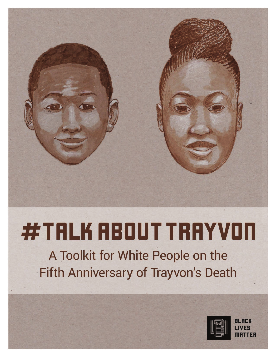# **#TALK RBOUT TRAYVON**

A Toolkit for White People on the Fifth Anniversary of Trayvon's Death

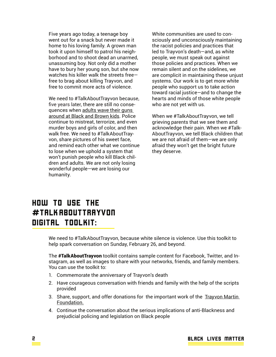Five years ago today, a teenage boy went out for a snack but never made it home to his loving family. A grown man took it upon himself to patrol his neighborhood and to shoot dead an unarmed, unassuming boy. Not only did a mother have to bury her young son, but she now watches his killer walk the streets free free to brag about killing Trayvon, and free to commit more acts of violence.

We need to #TalkAboutTrayvon because, five years later, there are still no consequences when adults wave their guns around at Black and Brown kids. Police continue to mistreat, terrorize, and even murder boys and girls of color, and then walk free. We need to #TalkAboutTrayvon, share pictures of his sweet face, and remind each other what we continue to lose when we uphold a system that won't punish people who kill Black children and adults. We are not only losing wonderful people—we are losing our humanity.

White communities are used to consciously and unconsciously maintaining the racist policies and practices that led to Trayvon's death—and, as white people, we must speak out against those policies and practices. When we remain silent and on the sidelines, we are complicit in maintaining these unjust systems. Our work is to get more white people who support us to take action toward racial justice—and to change the hearts and minds of those white people who are not yet with us.

When we #TalkAboutTrayvon, we tell grieving parents that we see them and acknowledge their pain. When we #Talk-AboutTrayvon, we tell Black children that we are not afraid of them—we are only afraid they won't get the bright future they deserve.

# How to use the #TalkAboutTrayvon digital toolkit:

We need to #TalkAboutTrayvon, because white silence is violence. Use this toolkit to help spark conversation on Sunday, February 26, and beyond.

The **#TalkAboutTrayvon** toolkit contains sample content for Facebook, Twitter, and Instagram, as well as images to share with your networks, friends, and family members. You can use the toolkit to:

- 1. Commemorate the anniversary of Trayvon's death
- 2. Have courageous conversation with friends and family with the help of the scripts provided
- 3. Share, support, and offer donations for the important work of the Trayvon Martin Foundation.
- 4. Continue the conversation about the serious implications of anti-Blackness and prejudicial policing and legislation on Black people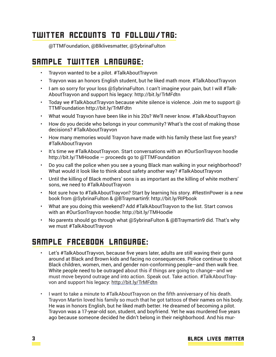#### Twitter accounts to follow/tag:

@TTMFoundation, @Blklivesmatter, @SybrinaFulton

#### Sample Twitter Language:

- Trayvon wanted to be a pilot. #TalkAboutTrayvon
- Trayvon was an honors English student, but he liked math more. #TalkAboutTrayvon
- I am so sorry for your loss @SybrinaFulton. I can't imagine your pain, but I will #Talk-AboutTrayvon and support his legacy: http://bit.ly/TrMFdtn
- Today we #TalkAboutTrayvon because white silence is violence. Join me to support  $\omega$ TTMFoundation http://bit.ly/TrMFdtn
- What would Trayvon have been like in his 20s? We'll never know. #TalkAboutTrayvon
- How do you decide who belongs in your community? What's the cost of making those decisions? #TalkAboutTrayvon
- How many memories would Trayvon have made with his family these last five years? #TalkAboutTrayvon
- It's time we #TalkAboutTrayvon. Start conversations with an #OurSonTrayvon hoodie http://bit.ly/TMHoodie — proceeds go to @TTMFoundation
- Do you call the police when you see a young Black man walking in your neighborhood? What would it look like to think about safety another way? #TalkAboutTrayvon
- Until the killing of Black mothers' sons is as important as the killing of white mothers' sons, we need to #TalkAboutTrayvon
- Not sure how to #TalkAboutTrayvon? Start by learning his story. #RestInPower is a new book from @SybrinaFulton & @BTraymartin9: http://bit.ly/RIPbook
- What are you doing this weekend? Add #TalkAboutTrayvon to the list. Start convos with an #OurSonTrayvon hoodie: http://bit.ly/TMHoodie
- No parents should go through what @SybrinaFulton & @BTraymartin9 did. That's why we must #TalkAboutTrayvon

### Sample Facebook Language:

- Let's #TalkAboutTrayvon, because five years later, adults are still waving their guns around at Black and Brown kids and facing no consequences. Police continue to shoot Black children, women, men, and gender non-conforming people—and then walk free. White people need to be outraged about this if things are going to change—and we must move beyond outrage and into action. Speak out. Take action. #TalkAboutTrayvon and support his legacy: http://bit.ly/TrMFdtn
- I want to take a minute to #TalkAboutTrayvon on the fifth anniversary of his death. Trayvon Martin loved his family so much that he got tattoos of their names on his body. He was in honors English, but he liked math better. He dreamed of becoming a pilot. Trayvon was a 17-year-old son, student, and boyfriend. Yet he was murdered five years ago because someone decided he didn't belong in their neighborhood. And his mur-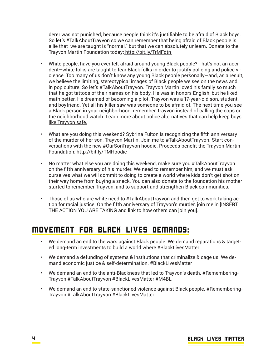derer was not punished, because people think it's justifiable to be afraid of Black boys. So let's #TalkAboutTrayvon so we can remember that being afraid of Black people is a lie that we are taught is "normal," but that we can absolutely unlearn. Donate to the Trayvon Martin Foundation today: http://bit.ly/TrMFdtn

- White people, have you ever felt afraid around young Black people? That's not an accident—white folks are taught to fear Black folks in order to justify policing and police violence. Too many of us don't know any young Black people personally—and, as a result, we believe the limiting, stereotypical images of Black people we see on the news and in pop culture. So let's #TalkAboutTrayvon. Trayvon Martin loved his family so much that he got tattoos of their names on his body. He was in honors English, but he liked math better. He dreamed of becoming a pilot. Trayvon was a 17-year-old son, student, and boyfriend. Yet all his killer saw was someone to be afraid of. The next time you see a Black person in your neighborhood, remember Trayvon instead of calling the cops or the neighborhood watch. Learn more about police alternatives that can help keep boys like Trayvon safe.
- What are you doing this weekend? Sybrina Fulton is recognizing the fifth anniversary of the murder of her son, Trayvon Martin. Join me to #TalkAboutTrayvon. Start conversations with the new #OurSonTrayvon hoodie. Proceeds benefit the Trayvon Martin Foundation: http://bit.ly/TMHoodie
- No matter what else you are doing this weekend, make sure you #TalkAboutTrayvon on the fifth anniversary of his murder. We need to remember him, and we must ask ourselves what we will commit to doing to create a world where kids don't get shot on their way home from buying a snack. You can also donate to the foundation his mother started to remember Trayvon, and to support and strengthen Black communities.
- Those of us who are white need to #TalkAboutTrayvon and then get to work taking action for racial justice. On the fifth anniversary of Trayvon's murder, join me in [INSERT THE ACTION YOU ARE TAKING and link to how others can join you].

#### Movement for Black Lives Demands:

- We demand an end to the wars against Black people. We demand reparations & targeted long-term investments to build a world where #BlackLivesMatter
- We demand a defunding of systems & institutions that criminalize & cage us. We demand economic justice & self-determination. #BlackLivesMatter
- We demand an end to the anti-Blackness that led to Trayvon's death. #Remembering-Trayvon #TalkAboutTrayvon #BlackLivesMatter #M4BL
- We demand an end to state-sanctioned violence against Black people. #Remembering-Trayvon #TalkAboutTrayvon #BlackLivesMatter